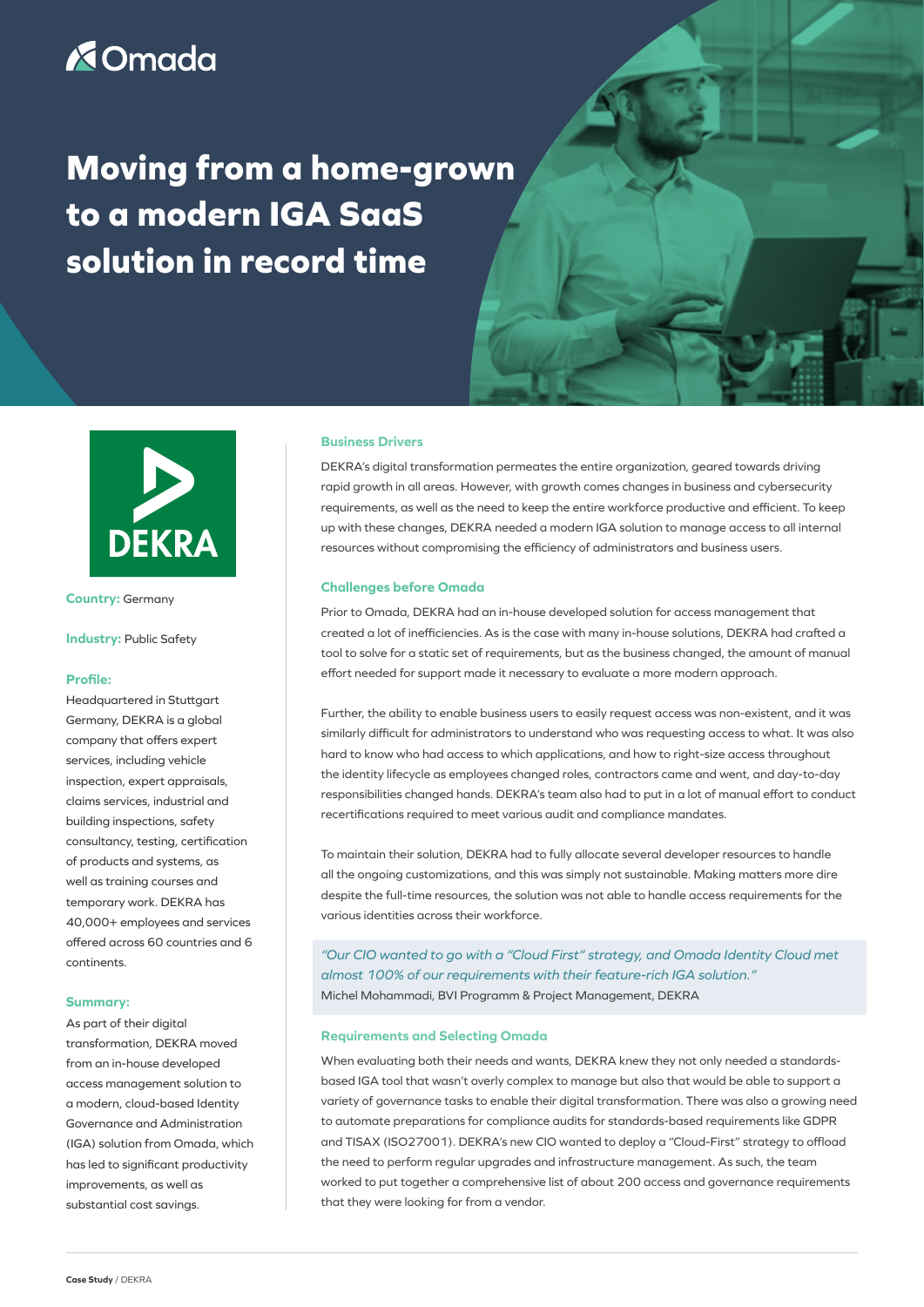# **X**Omada

**Moving from a home-grown to a modern IGA SaaS solution in record time**



**Country:** Germany

**Industry:** Public Safety

#### **Profile:**

Headquartered in Stuttgart Germany, DEKRA is a global company that offers expert services, including vehicle inspection, expert appraisals, claims services, industrial and building inspections, safety consultancy, testing, certification of products and systems, as well as training courses and temporary work. DEKRA has 40,000+ employees and services offered across 60 countries and 6 continents.

#### **Summary:**

As part of their digital transformation, DEKRA moved from an in-house developed access management solution to a modern, cloud-based Identity Governance and Administration (IGA) solution from Omada, which has led to significant productivity improvements, as well as substantial cost savings.

#### **Business Drivers**

DEKRA's digital transformation permeates the entire organization, geared towards driving rapid growth in all areas. However, with growth comes changes in business and cybersecurity requirements, as well as the need to keep the entire workforce productive and efficient. To keep up with these changes, DEKRA needed a modern IGA solution to manage access to all internal resources without compromising the efficiency of administrators and business users.

## **Challenges before Omada**

Prior to Omada, DEKRA had an in-house developed solution for access management that created a lot of inefficiencies. As is the case with many in-house solutions, DEKRA had crafted a tool to solve for a static set of requirements, but as the business changed, the amount of manual effort needed for support made it necessary to evaluate a more modern approach.

Further, the ability to enable business users to easily request access was non-existent, and it was similarly difficult for administrators to understand who was requesting access to what. It was also hard to know who had access to which applications, and how to right-size access throughout the identity lifecycle as employees changed roles, contractors came and went, and day-to-day responsibilities changed hands. DEKRA's team also had to put in a lot of manual effort to conduct recertifications required to meet various audit and compliance mandates.

To maintain their solution, DEKRA had to fully allocate several developer resources to handle all the ongoing customizations, and this was simply not sustainable. Making matters more dire despite the full-time resources, the solution was not able to handle access requirements for the various identities across their workforce.

*"Our CIO wanted to go with a "Cloud First" strategy, and Omada Identity Cloud met almost 100% of our requirements with their feature-rich IGA solution."* Michel Mohammadi, BVI Programm & Project Management, DEKRA

#### **Requirements and Selecting Omada**

When evaluating both their needs and wants, DEKRA knew they not only needed a standardsbased IGA tool that wasn't overly complex to manage but also that would be able to support a variety of governance tasks to enable their digital transformation. There was also a growing need to automate preparations for compliance audits for standards-based requirements like GDPR and TISAX (ISO27001). DEKRA's new CIO wanted to deploy a "Cloud-First" strategy to offload the need to perform regular upgrades and infrastructure management. As such, the team worked to put together a comprehensive list of about 200 access and governance requirements that they were looking for from a vendor.